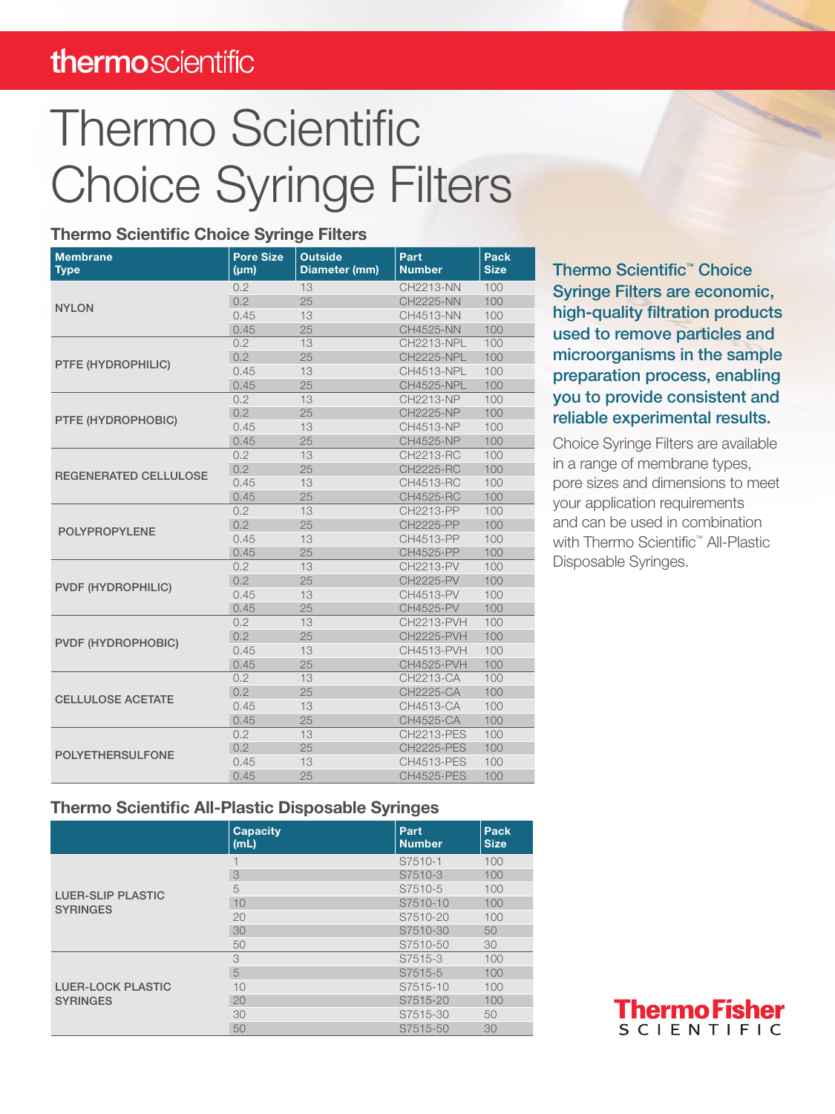## thermoscientific

# Thermo Scientific Choice Syringe Filters

### Thermo Scientific Choice Syringe Filters

| <b>Membrane</b><br><b>Type</b> | <b>Pore Size</b><br>$(\mu m)$ | <b>Outside</b><br>Diameter (mm) | Part<br><b>Number</b> | Pack<br><b>Size</b> |
|--------------------------------|-------------------------------|---------------------------------|-----------------------|---------------------|
| <b>NYLON</b>                   | 0.2                           | 13                              | CH2213-NN             | 100                 |
|                                | 0.2                           | 25                              | <b>CH2225-NN</b>      | 100                 |
|                                | 0.45                          | 13                              | CH4513-NN             | 100                 |
|                                | 0.45                          | 25                              | <b>CH4525-NN</b>      | 100                 |
| PTFE (HYDROPHILIC)             | 0.2                           | 13                              | <b>CH2213-NPL</b>     | 100                 |
|                                | 0.2                           | 25                              | <b>CH2225-NPL</b>     | 100                 |
|                                | 0.45                          | 13                              | <b>CH4513-NPL</b>     | 100                 |
|                                | 0.45                          | 25                              | <b>CH4525-NPL</b>     | 100                 |
| PTFE (HYDROPHOBIC)             | 0.2                           | 13                              | CH2213-NP             | 100                 |
|                                | 0.2                           | 25                              | <b>CH2225-NP</b>      | 100                 |
|                                | 0.45                          | 13                              | CH4513-NP             | 100                 |
|                                | 0.45                          | 25                              | CH4525-NP             | 100                 |
| <b>REGENERATED CELLULOSE</b>   | 0.2                           | 13                              | CH2213-RC             | 100                 |
|                                | 0.2                           | 25                              | <b>CH2225-RC</b>      | 100                 |
|                                | 0.45                          | 13                              | CH4513-RC             | 100                 |
|                                | 0.45                          | 25                              | <b>CH4525-RC</b>      | 100                 |
| <b>POLYPROPYLENE</b>           | 0.2                           | 13                              | CH2213-PP             | 100                 |
|                                | 0.2                           | 25                              | CH2225-PP             | 100                 |
|                                | 0.45                          | 13                              | CH4513-PP             | 100                 |
|                                | 0.45                          | 25                              | CH4525-PP             | 100                 |
| <b>PVDF (HYDROPHILIC)</b>      | 0.2                           | 13                              | CH2213-PV             | 100                 |
|                                | 0.2                           | 25                              | <b>CH2225-PV</b>      | 100                 |
|                                | 0.45                          | 13                              | CH4513-PV             | 100                 |
|                                | 0.45                          | 25                              | CH4525-PV             | 100                 |
| <b>PVDF (HYDROPHOBIC)</b>      | 0.2                           | 13                              | CH2213-PVH            | 100                 |
|                                | 0.2                           | 25                              | <b>CH2225-PVH</b>     | 100                 |
|                                | 0.45                          | 13                              | CH4513-PVH            | 100                 |
|                                | 0.45                          | 25                              | <b>CH4525-PVH</b>     | 100                 |
| <b>CELLULOSE ACETATE</b>       | 0.2                           | 13                              | CH2213-CA             | 100                 |
|                                | 0.2                           | 25                              | <b>CH2225-CA</b>      | 100                 |
|                                | 0.45                          | 13                              | CH4513-CA             | 100                 |
|                                | 0.45                          | 25                              | CH4525-CA             | 100                 |
| <b>POLYETHERSULFONE</b>        | 0.2                           | 13                              | CH2213-PES            | 100                 |
|                                | 0.2                           | 25                              | <b>CH2225-PES</b>     | 100                 |
|                                | 0.45                          | 13                              | <b>CH4513-PES</b>     | 100                 |
|                                | 0.45                          | 25                              | <b>CH4525-PES</b>     | 100                 |

Thermo Scientific™ Choice Syringe Filters are economic, high-quality filtration products used to remove particles and microorganisms in the sample preparation process, enabling you to provide consistent and reliable experimental results.

Choice Syringe Filters are available in a range of membrane types, pore sizes and dimensions to meet your application requirements and can be used in combination with Thermo Scientific<sup>™</sup> All-Plastic Disposable Syringes.

#### Thermo Scientific All-Plastic Disposable Syringes

|                                             | <b>Capacity</b><br>(mL) | Part<br><b>Number</b> | <b>Pack</b><br><b>Size</b> |
|---------------------------------------------|-------------------------|-----------------------|----------------------------|
| <b>LUER-SLIP PLASTIC</b><br><b>SYRINGES</b> |                         | S7510-1               | 100                        |
|                                             | 3                       | S7510-3               | 100                        |
|                                             | 5                       | S7510-5               | 100                        |
|                                             | 10                      | S7510-10              | 100                        |
|                                             | 20                      | S7510-20              | 100                        |
|                                             | 30                      | S7510-30              | 50                         |
|                                             | 50                      | S7510-50              | 30                         |
| <b>LUER-LOCK PLASTIC</b><br><b>SYRINGES</b> | 3                       | S7515-3               | 100                        |
|                                             | 5                       | S7515-5               | 100                        |
|                                             | 10                      | S7515-10              | 100                        |
|                                             | 20                      | S7515-20              | 100                        |
|                                             | 30                      | S7515-30              | 50                         |
|                                             | 50                      | S7515-50              | 30                         |